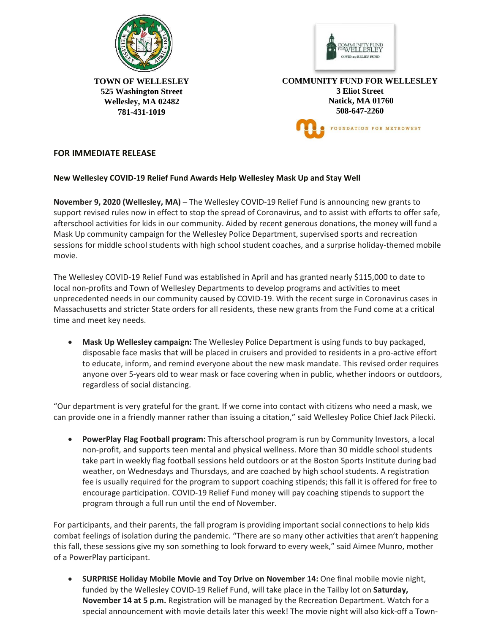



**TOWN OF WELLESLEY 525 Washington Street Wellesley, MA 02482 781-431-1019** 

**COMMUNITY FUND FOR WELLESLEY 3 Eliot Street Natick, MA 01760 508-647-2260** FOUNDATION FOR METROWEST

## **FOR IMMEDIATE RELEASE**

## **New Wellesley COVID-19 Relief Fund Awards Help Wellesley Mask Up and Stay Well**

**November 9, 2020 (Wellesley, MA)** – The Wellesley COVID-19 Relief Fund is announcing new grants to support revised rules now in effect to stop the spread of Coronavirus, and to assist with efforts to offer safe, afterschool activities for kids in our community. Aided by recent generous donations, the money will fund a Mask Up community campaign for the Wellesley Police Department, supervised sports and recreation sessions for middle school students with high school student coaches, and a surprise holiday-themed mobile movie.

The Wellesley COVID-19 Relief Fund was established in April and has granted nearly \$115,000 to date to local non-profits and Town of Wellesley Departments to develop programs and activities to meet unprecedented needs in our community caused by COVID-19. With the recent surge in Coronavirus cases in Massachusetts and stricter State orders for all residents, these new grants from the Fund come at a critical time and meet key needs.

 **Mask Up Wellesley campaign:** The Wellesley Police Department is using funds to buy packaged, disposable face masks that will be placed in cruisers and provided to residents in a pro-active effort to educate, inform, and remind everyone about the new mask mandate. This revised order requires anyone over 5-years old to wear mask or face covering when in public, whether indoors or outdoors, regardless of social distancing.

"Our department is very grateful for the grant. If we come into contact with citizens who need a mask, we can provide one in a friendly manner rather than issuing a citation," said Wellesley Police Chief Jack Pilecki.

 **PowerPlay Flag Football program:** This afterschool program is run by Community Investors, a local non-profit, and supports teen mental and physical wellness. More than 30 middle school students take part in weekly flag football sessions held outdoors or at the Boston Sports Institute during bad weather, on Wednesdays and Thursdays, and are coached by high school students. A registration fee is usually required for the program to support coaching stipends; this fall it is offered for free to encourage participation. COVID-19 Relief Fund money will pay coaching stipends to support the program through a full run until the end of November.

For participants, and their parents, the fall program is providing important social connections to help kids combat feelings of isolation during the pandemic. "There are so many other activities that aren't happening this fall, these sessions give my son something to look forward to every week," said Aimee Munro, mother of a PowerPlay participant.

 **SURPRISE Holiday Mobile Movie and Toy Drive on November 14:** One final mobile movie night, funded by the Wellesley COVID-19 Relief Fund, will take place in the Tailby lot on **Saturday, November 14 at 5 p.m.** Registration will be managed by the Recreation Department. Watch for a special announcement with movie details later this week! The movie night will also kick-off a Town